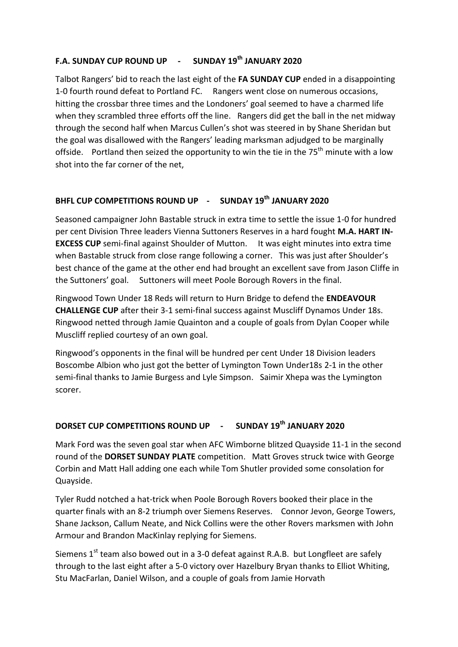## **F.A. SUNDAY CUP ROUND UP - SUNDAY 19th JANUARY 2020**

Talbot Rangers' bid to reach the last eight of the **FA SUNDAY CUP** ended in a disappointing 1-0 fourth round defeat to Portland FC. Rangers went close on numerous occasions, hitting the crossbar three times and the Londoners' goal seemed to have a charmed life when they scrambled three efforts off the line. Rangers did get the ball in the net midway through the second half when Marcus Cullen's shot was steered in by Shane Sheridan but the goal was disallowed with the Rangers' leading marksman adjudged to be marginally offside. Portland then seized the opportunity to win the tie in the 75<sup>th</sup> minute with a low shot into the far corner of the net,

## **BHFL CUP COMPETITIONS ROUND UP - SUNDAY 19th JANUARY 2020**

Seasoned campaigner John Bastable struck in extra time to settle the issue 1-0 for hundred per cent Division Three leaders Vienna Suttoners Reserves in a hard fought **M.A. HART IN-EXCESS CUP** semi-final against Shoulder of Mutton. It was eight minutes into extra time when Bastable struck from close range following a corner. This was just after Shoulder's best chance of the game at the other end had brought an excellent save from Jason Cliffe in the Suttoners' goal. Suttoners will meet Poole Borough Rovers in the final.

Ringwood Town Under 18 Reds will return to Hurn Bridge to defend the **ENDEAVOUR CHALLENGE CUP** after their 3-1 semi-final success against Muscliff Dynamos Under 18s. Ringwood netted through Jamie Quainton and a couple of goals from Dylan Cooper while Muscliff replied courtesy of an own goal.

Ringwood's opponents in the final will be hundred per cent Under 18 Division leaders Boscombe Albion who just got the better of Lymington Town Under18s 2-1 in the other semi-final thanks to Jamie Burgess and Lyle Simpson. Saimir Xhepa was the Lymington scorer.

## **DORSET CUP COMPETITIONS ROUND UP - SUNDAY 19th JANUARY 2020**

Mark Ford was the seven goal star when AFC Wimborne blitzed Quayside 11-1 in the second round of the **DORSET SUNDAY PLATE** competition. Matt Groves struck twice with George Corbin and Matt Hall adding one each while Tom Shutler provided some consolation for Quayside.

Tyler Rudd notched a hat-trick when Poole Borough Rovers booked their place in the quarter finals with an 8-2 triumph over Siemens Reserves. Connor Jevon, George Towers, Shane Jackson, Callum Neate, and Nick Collins were the other Rovers marksmen with John Armour and Brandon MacKinlay replying for Siemens.

Siemens  $1^{st}$  team also bowed out in a 3-0 defeat against R.A.B. but Longfleet are safely through to the last eight after a 5-0 victory over Hazelbury Bryan thanks to Elliot Whiting, Stu MacFarlan, Daniel Wilson, and a couple of goals from Jamie Horvath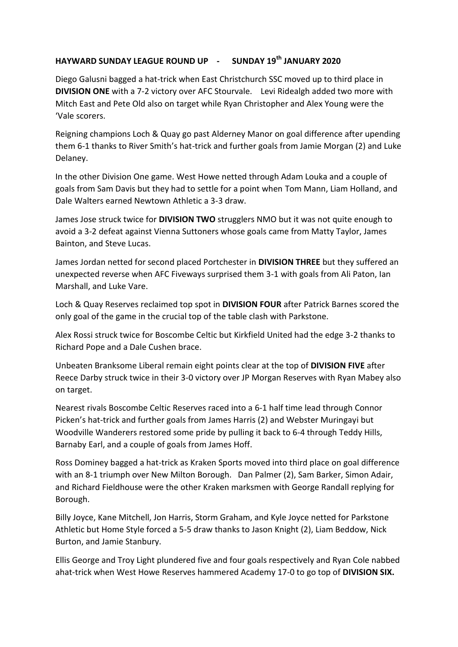## **HAYWARD SUNDAY LEAGUE ROUND UP - SUNDAY 19th JANUARY 2020**

Diego Galusni bagged a hat-trick when East Christchurch SSC moved up to third place in **DIVISION ONE** with a 7-2 victory over AFC Stourvale. Levi Ridealgh added two more with Mitch East and Pete Old also on target while Ryan Christopher and Alex Young were the 'Vale scorers.

Reigning champions Loch & Quay go past Alderney Manor on goal difference after upending them 6-1 thanks to River Smith's hat-trick and further goals from Jamie Morgan (2) and Luke Delaney.

In the other Division One game. West Howe netted through Adam Louka and a couple of goals from Sam Davis but they had to settle for a point when Tom Mann, Liam Holland, and Dale Walters earned Newtown Athletic a 3-3 draw.

James Jose struck twice for **DIVISION TWO** strugglers NMO but it was not quite enough to avoid a 3-2 defeat against Vienna Suttoners whose goals came from Matty Taylor, James Bainton, and Steve Lucas.

James Jordan netted for second placed Portchester in **DIVISION THREE** but they suffered an unexpected reverse when AFC Fiveways surprised them 3-1 with goals from Ali Paton, Ian Marshall, and Luke Vare.

Loch & Quay Reserves reclaimed top spot in **DIVISION FOUR** after Patrick Barnes scored the only goal of the game in the crucial top of the table clash with Parkstone.

Alex Rossi struck twice for Boscombe Celtic but Kirkfield United had the edge 3-2 thanks to Richard Pope and a Dale Cushen brace.

Unbeaten Branksome Liberal remain eight points clear at the top of **DIVISION FIVE** after Reece Darby struck twice in their 3-0 victory over JP Morgan Reserves with Ryan Mabey also on target.

Nearest rivals Boscombe Celtic Reserves raced into a 6-1 half time lead through Connor Picken's hat-trick and further goals from James Harris (2) and Webster Muringayi but Woodville Wanderers restored some pride by pulling it back to 6-4 through Teddy Hills, Barnaby Earl, and a couple of goals from James Hoff.

Ross Dominey bagged a hat-trick as Kraken Sports moved into third place on goal difference with an 8-1 triumph over New Milton Borough. Dan Palmer (2), Sam Barker, Simon Adair, and Richard Fieldhouse were the other Kraken marksmen with George Randall replying for Borough.

Billy Joyce, Kane Mitchell, Jon Harris, Storm Graham, and Kyle Joyce netted for Parkstone Athletic but Home Style forced a 5-5 draw thanks to Jason Knight (2), Liam Beddow, Nick Burton, and Jamie Stanbury.

Ellis George and Troy Light plundered five and four goals respectively and Ryan Cole nabbed ahat-trick when West Howe Reserves hammered Academy 17-0 to go top of **DIVISION SIX.**